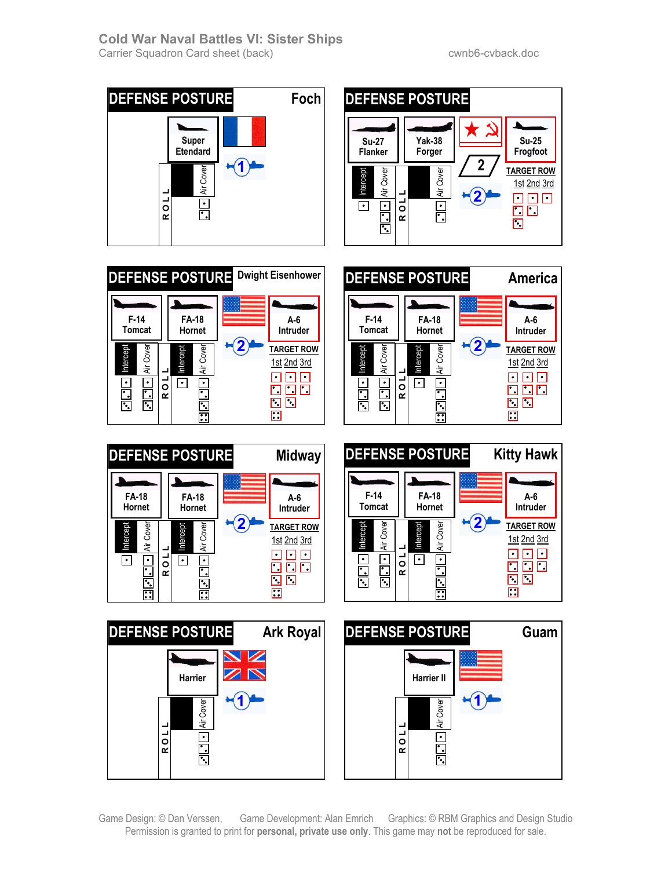









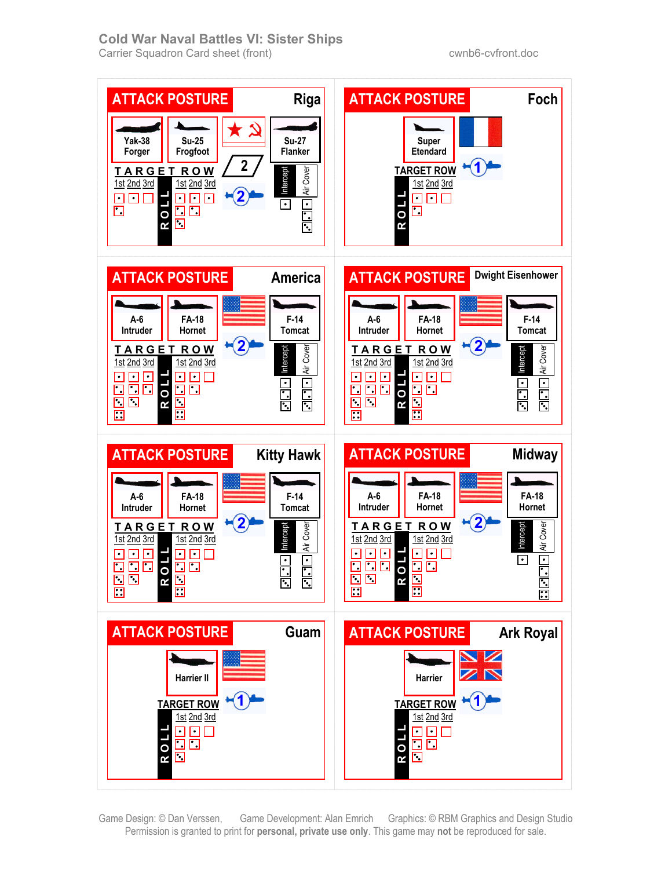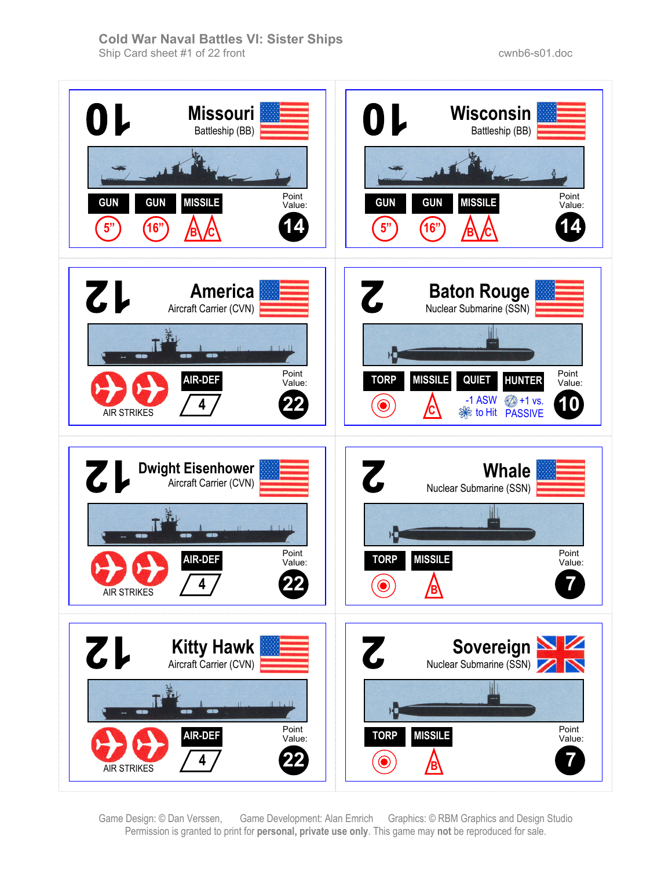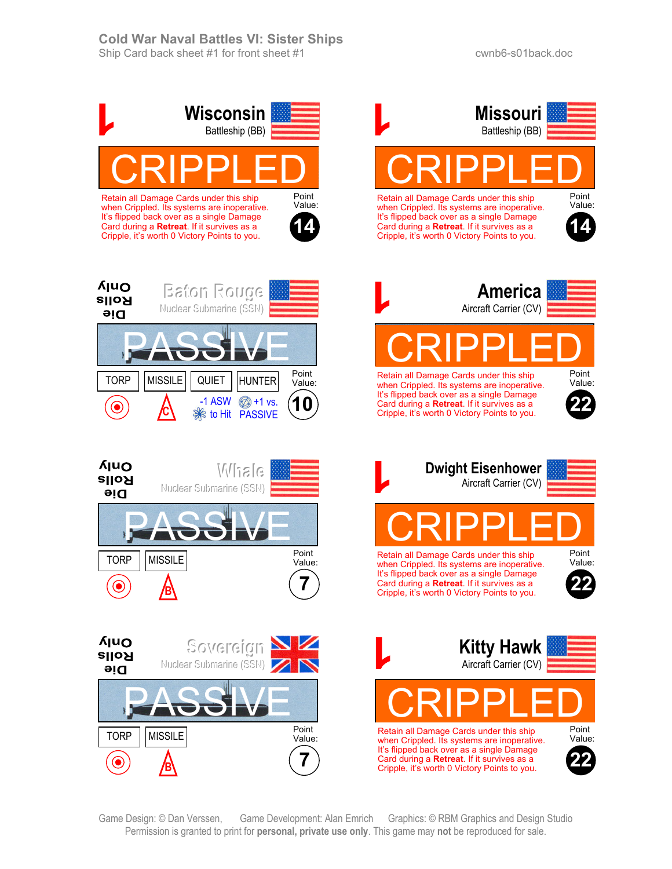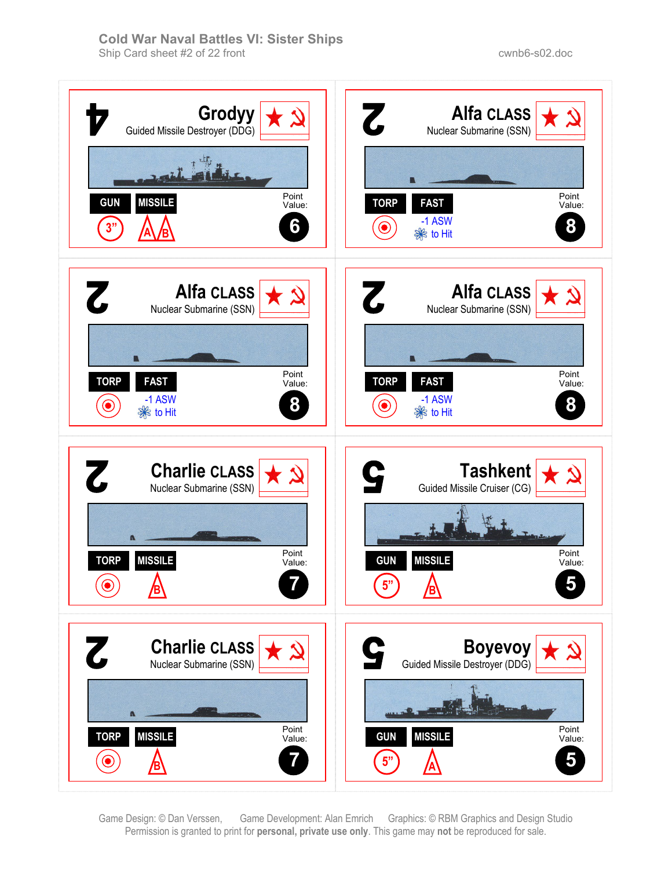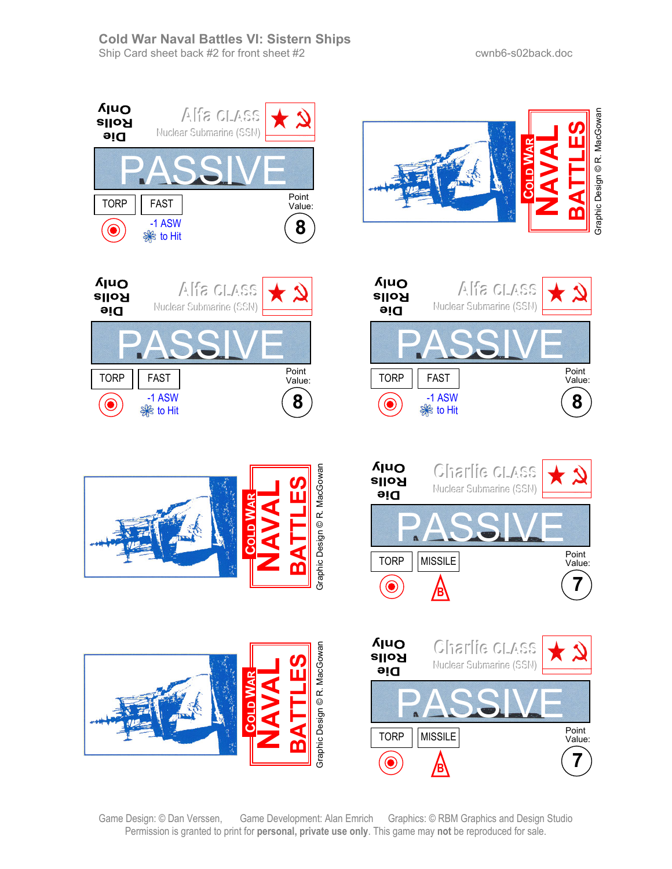













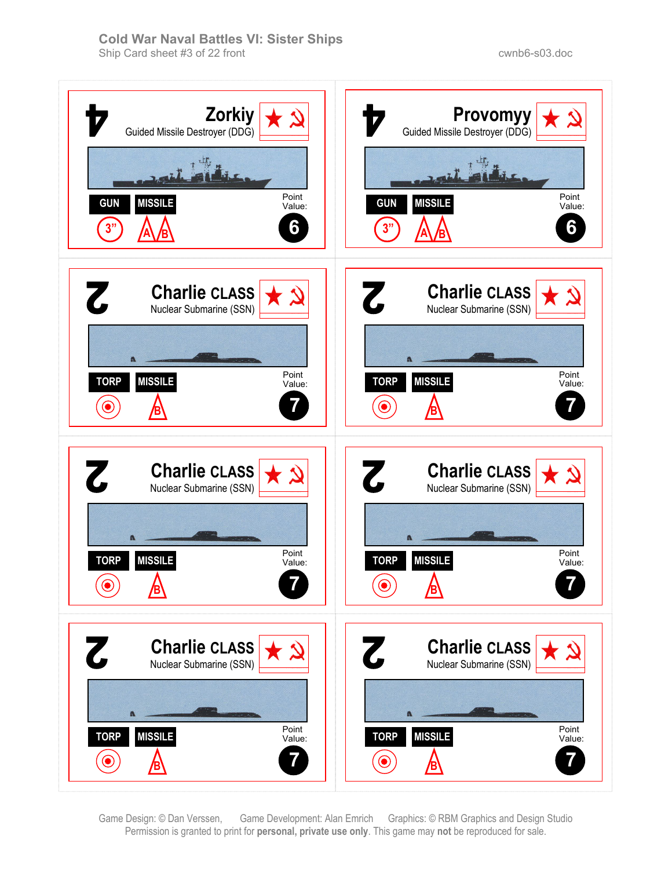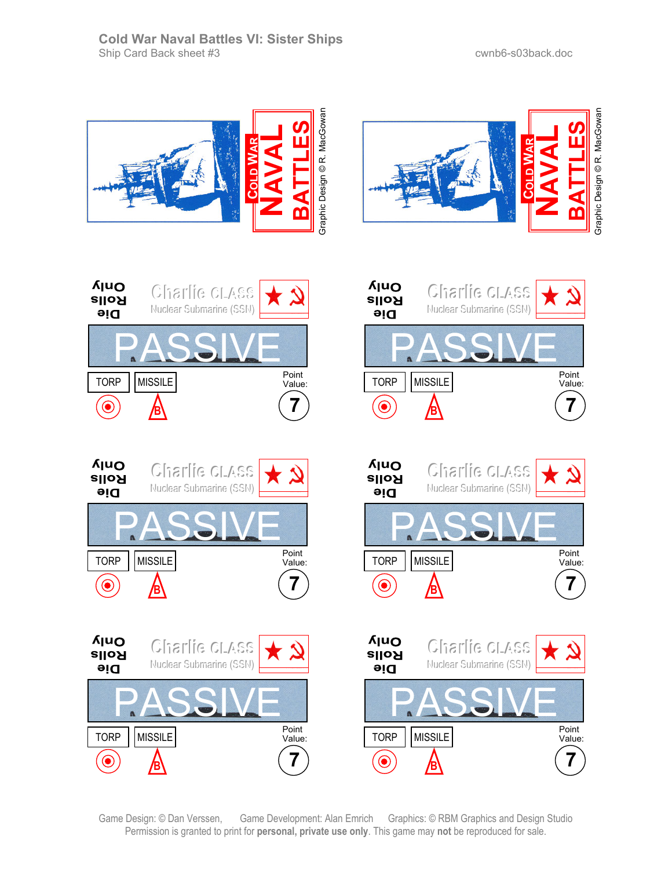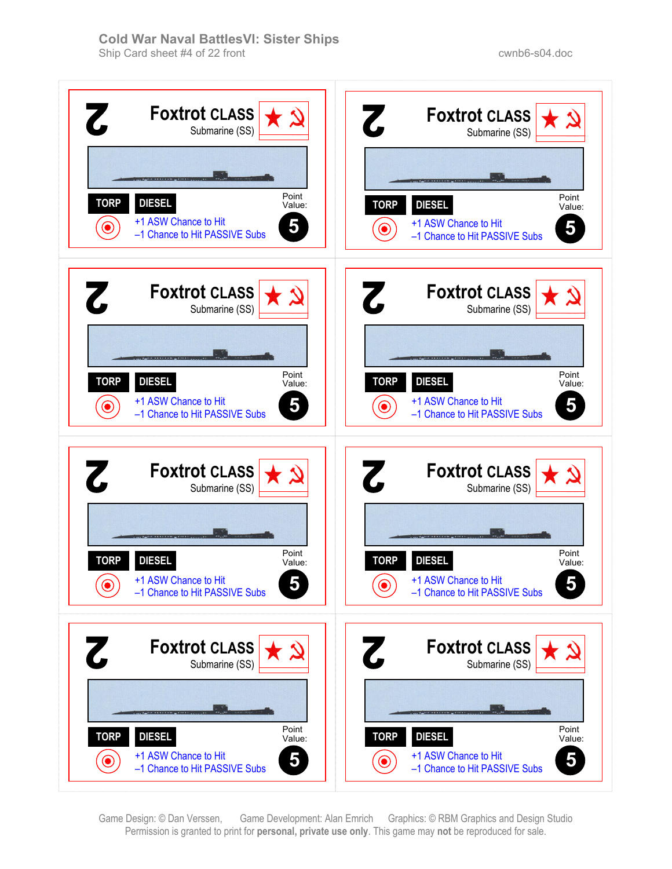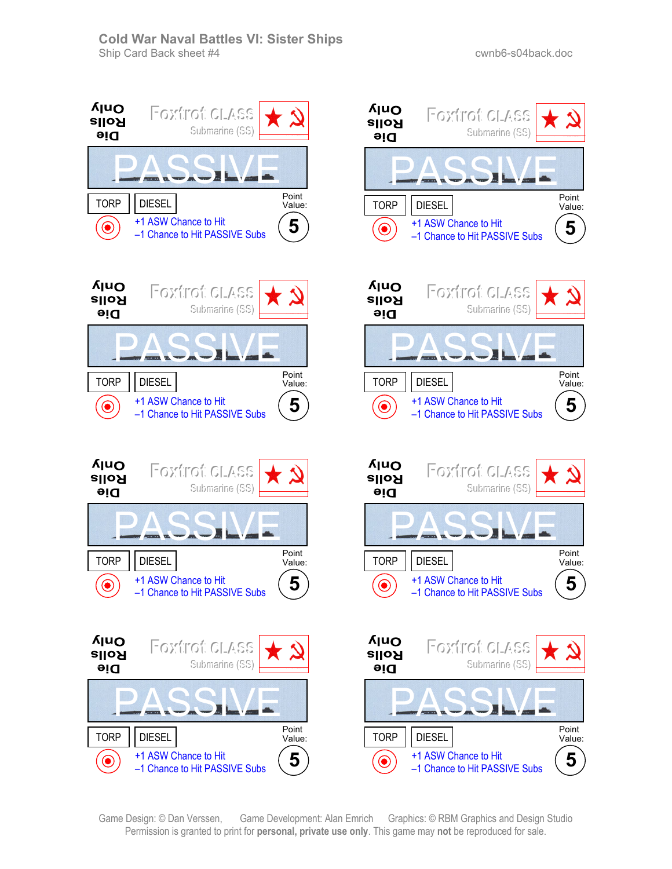Submarine (SS)

Submarine (SS)

Submarine (SS)

Submarine (SS)

**5**

Point Value:

**5**

Point Value:

**5**

Point Value:

**5**

Point Value:

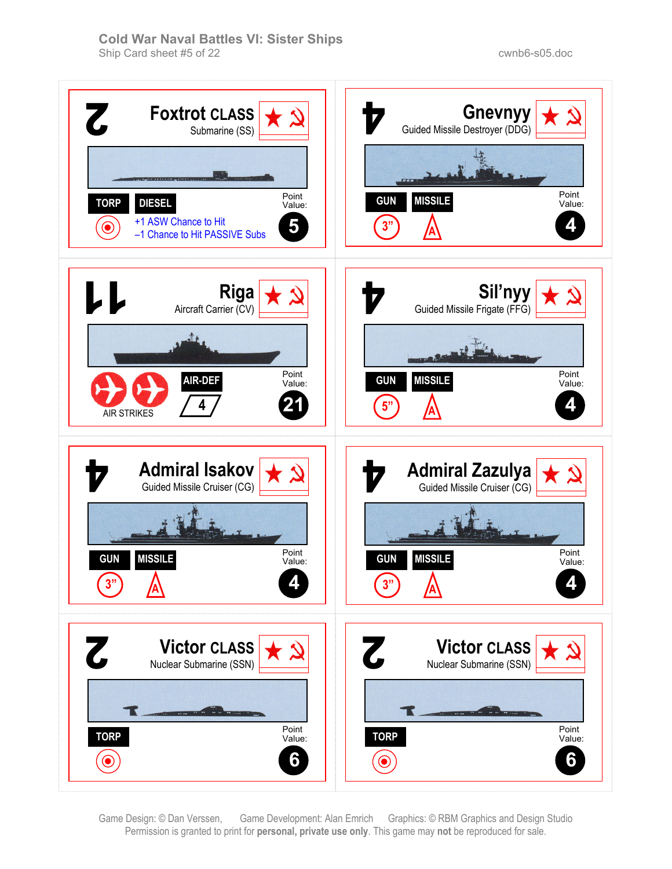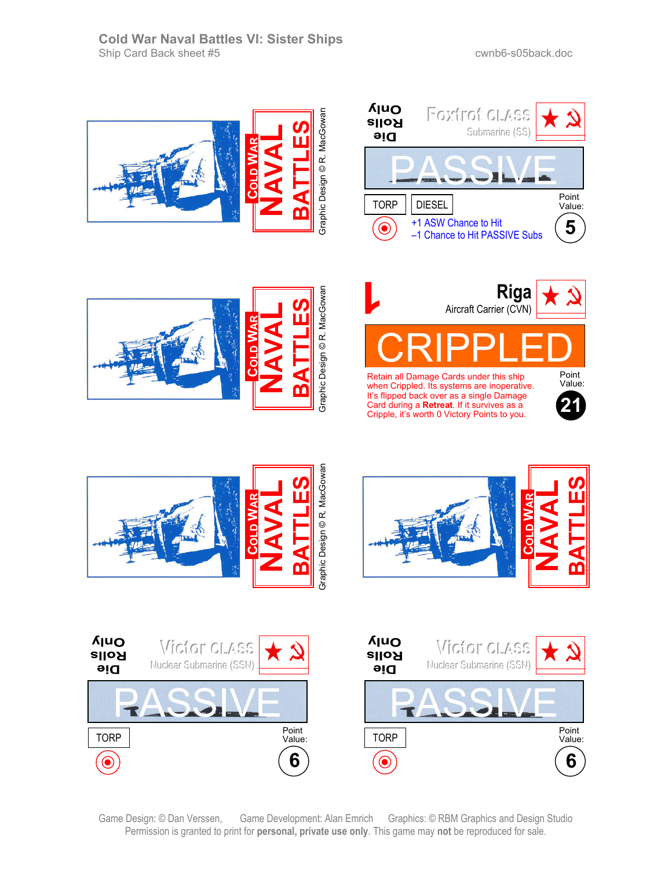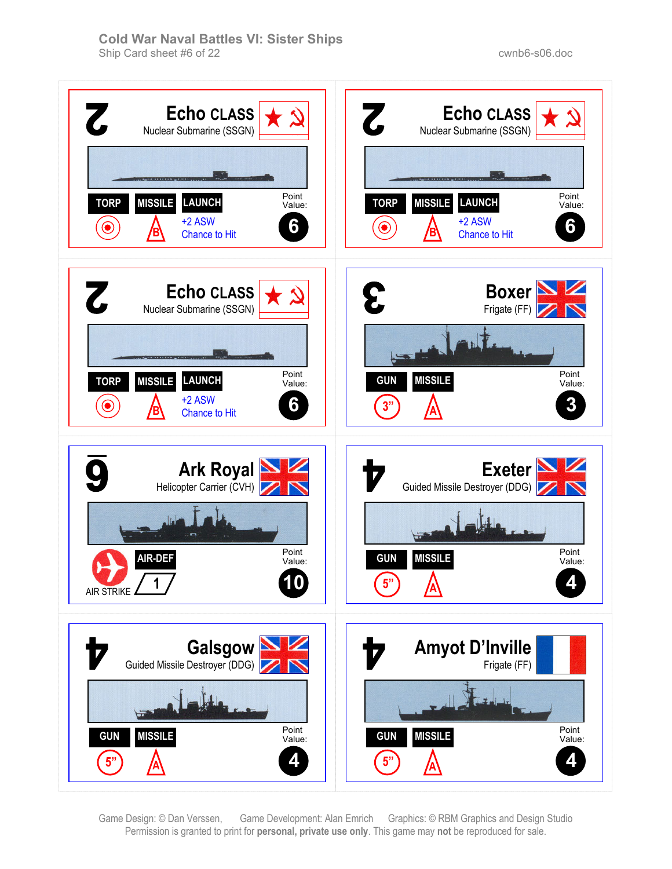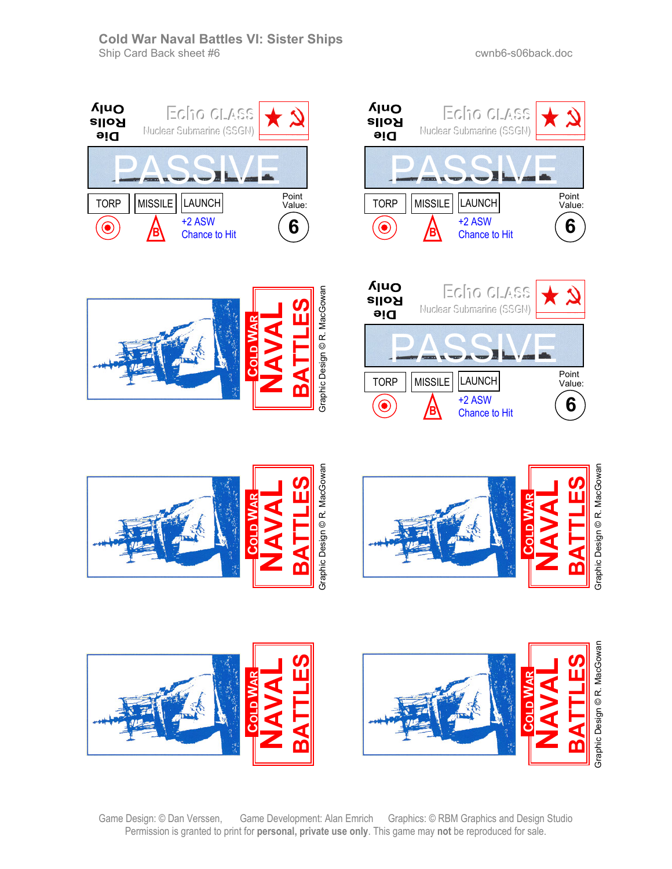**6**

Point Value:

Eclin<sub>c</sub> CLASS

Nuclear Submarine (SSGN)

+2 ASW Chance to Hit

**B**

LAUNCH

R**ASSIM** 













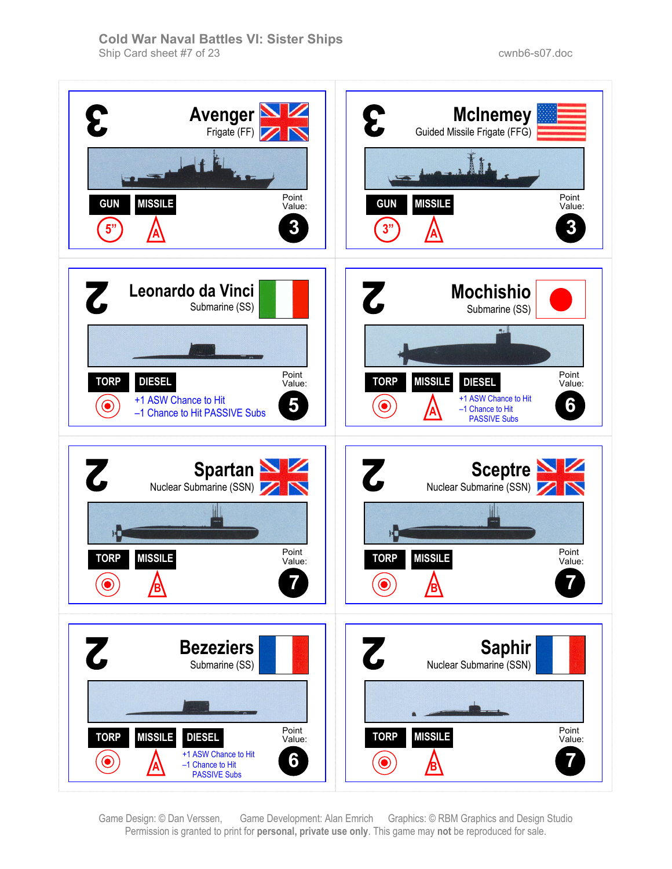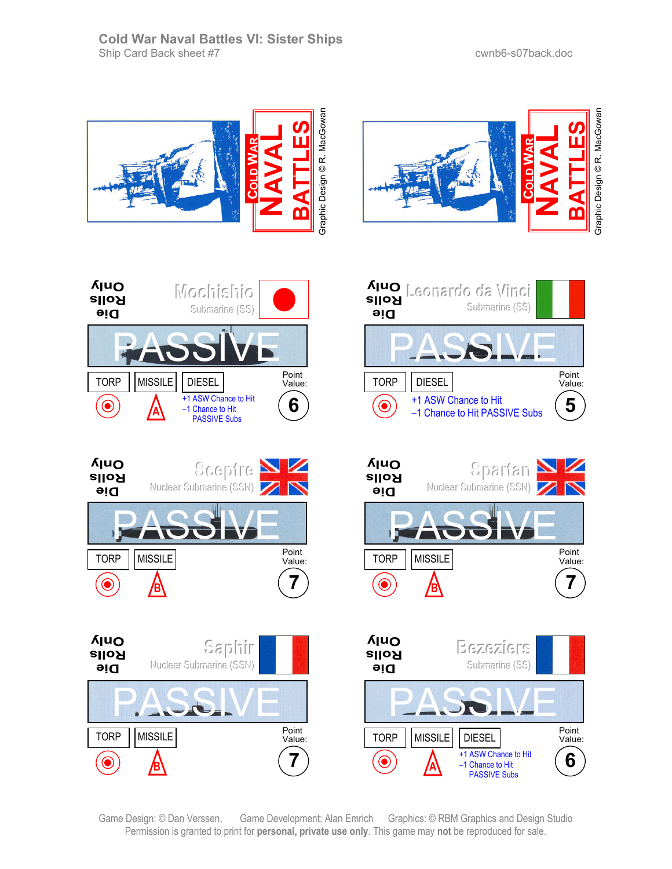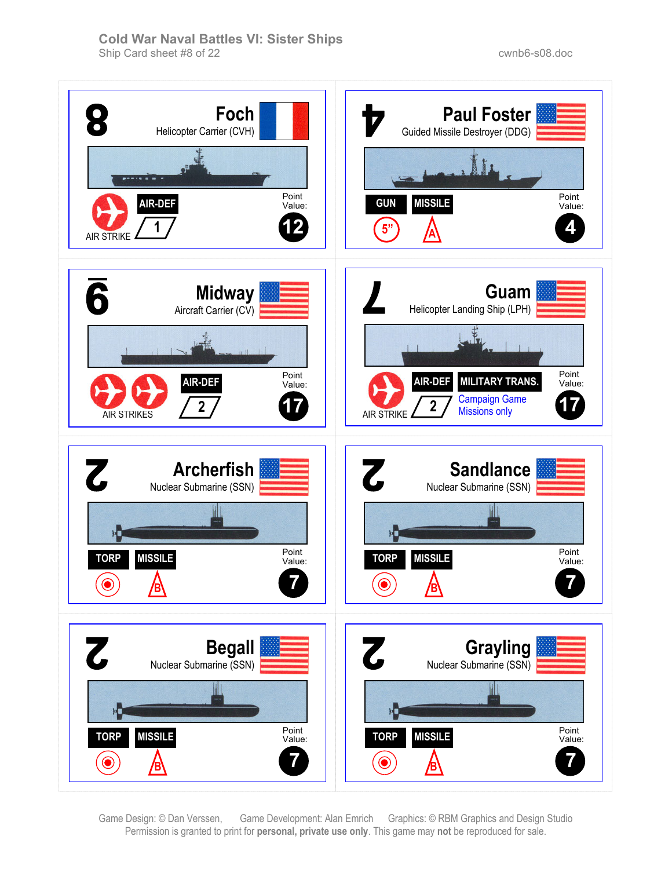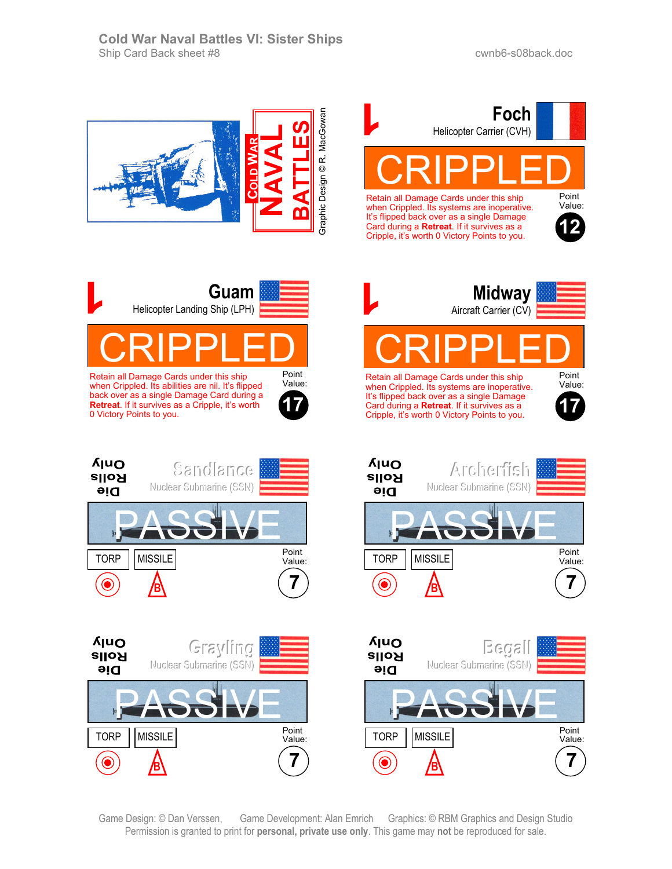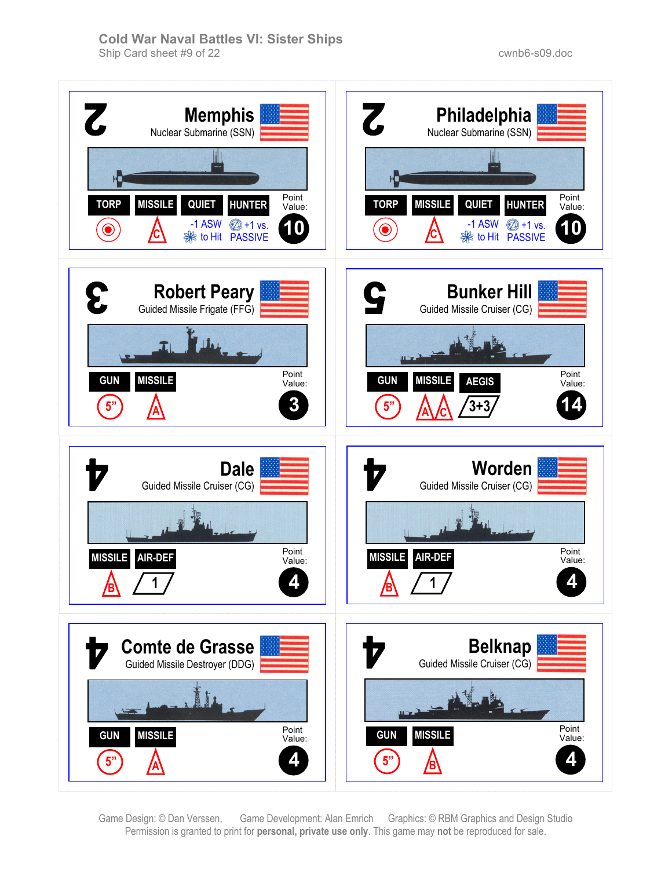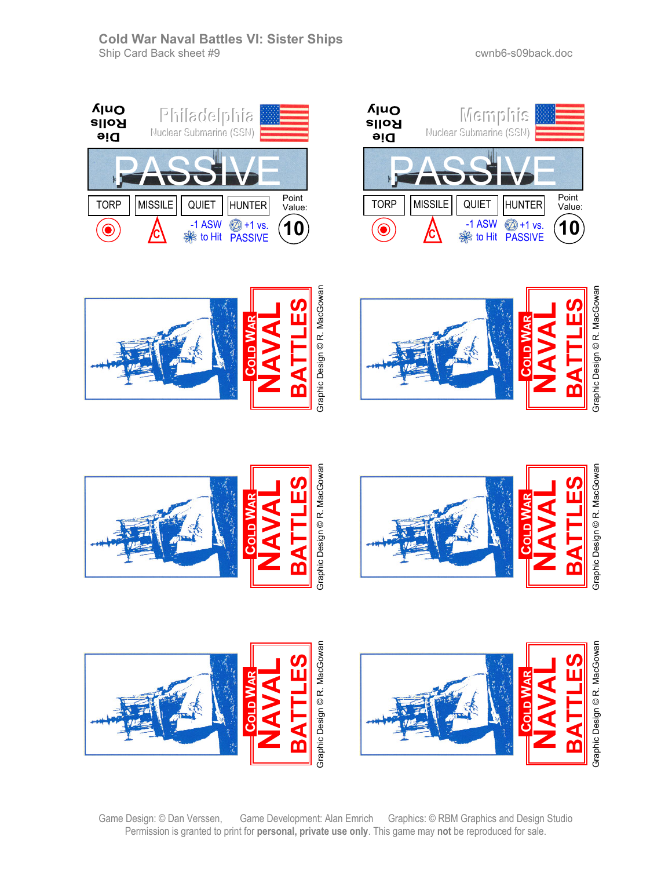**PPhhiillaaddeellpphhii aa** Nuclear Submarine (SSN)

**Ajuo** 

**Rolls** 

**Die** 























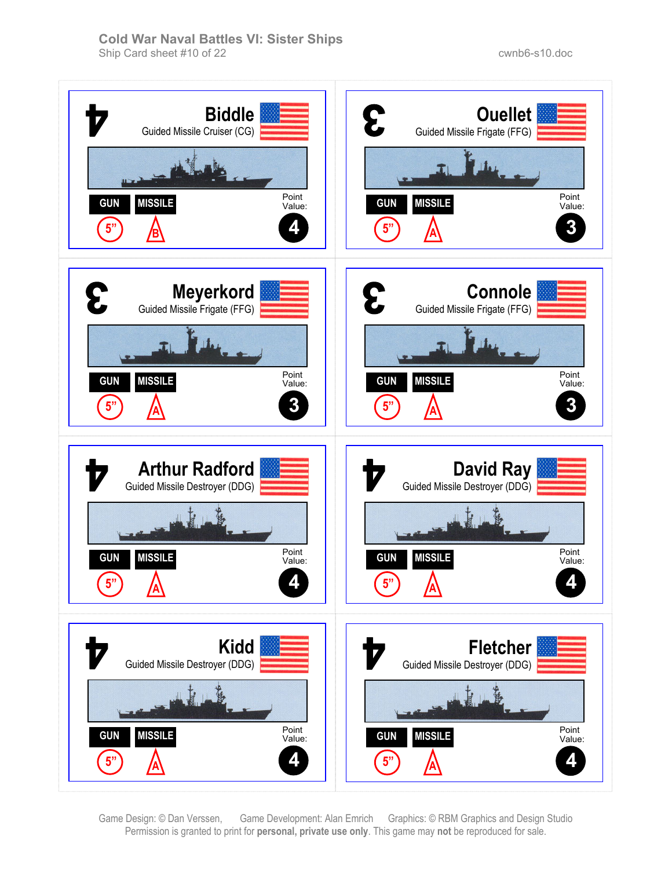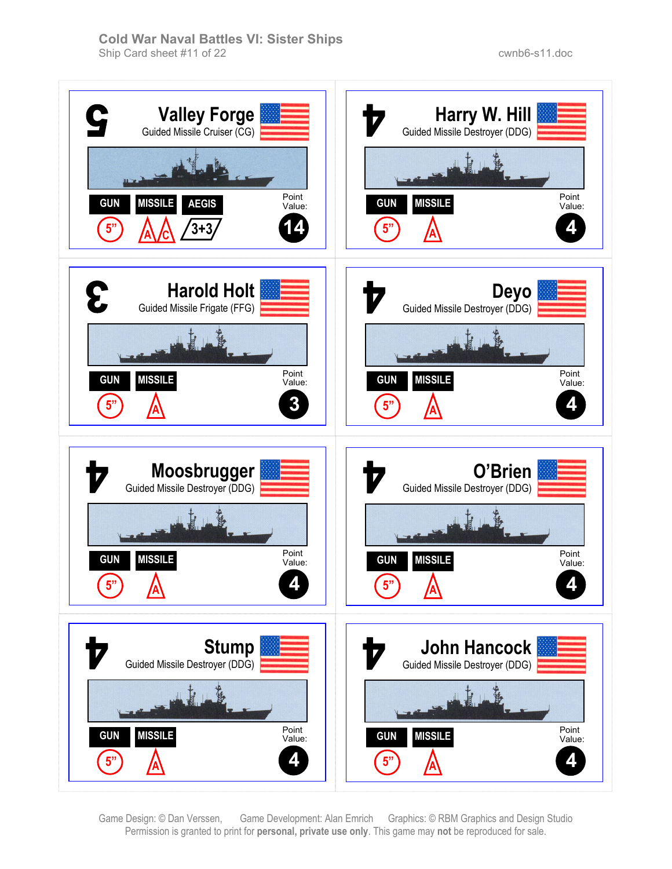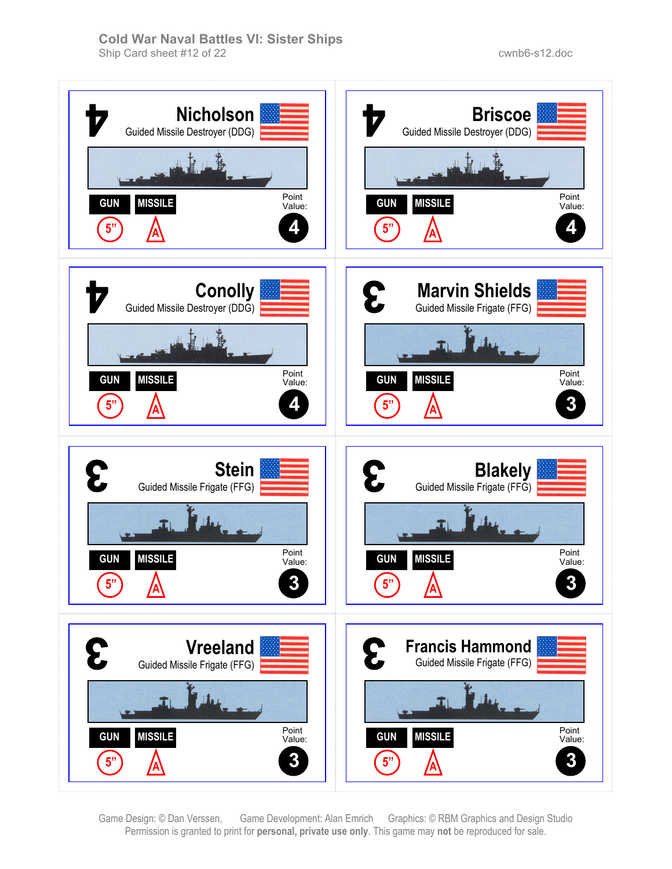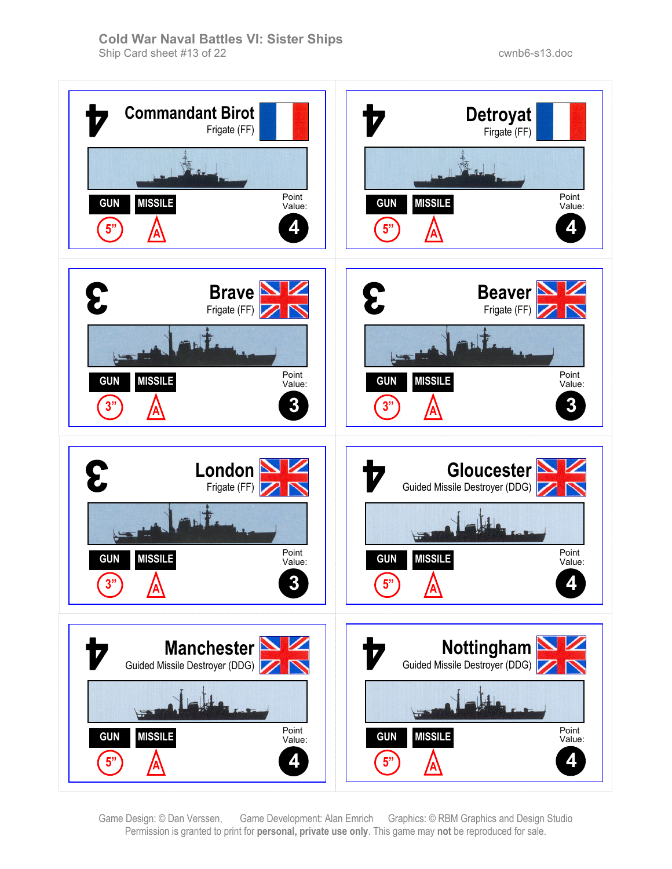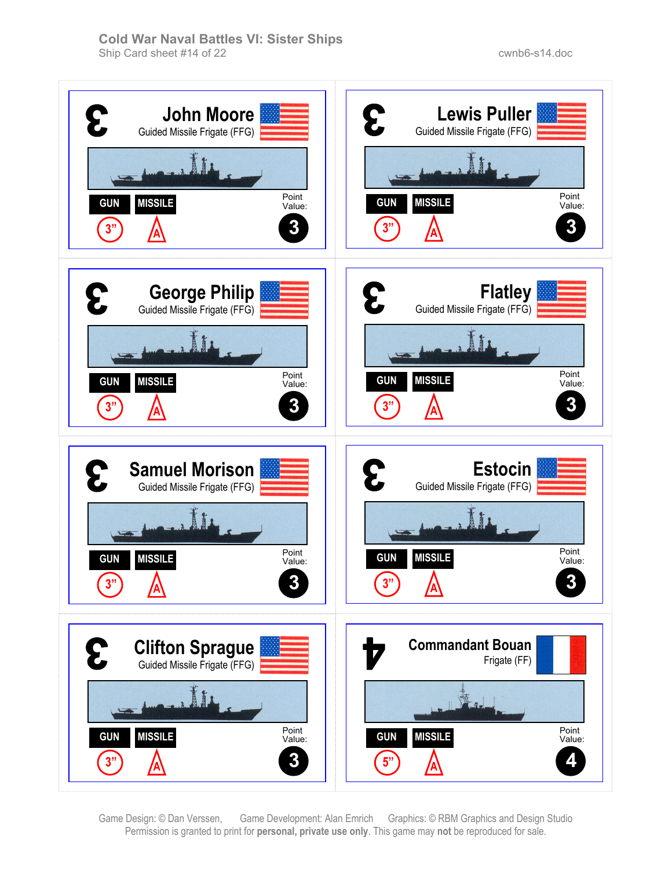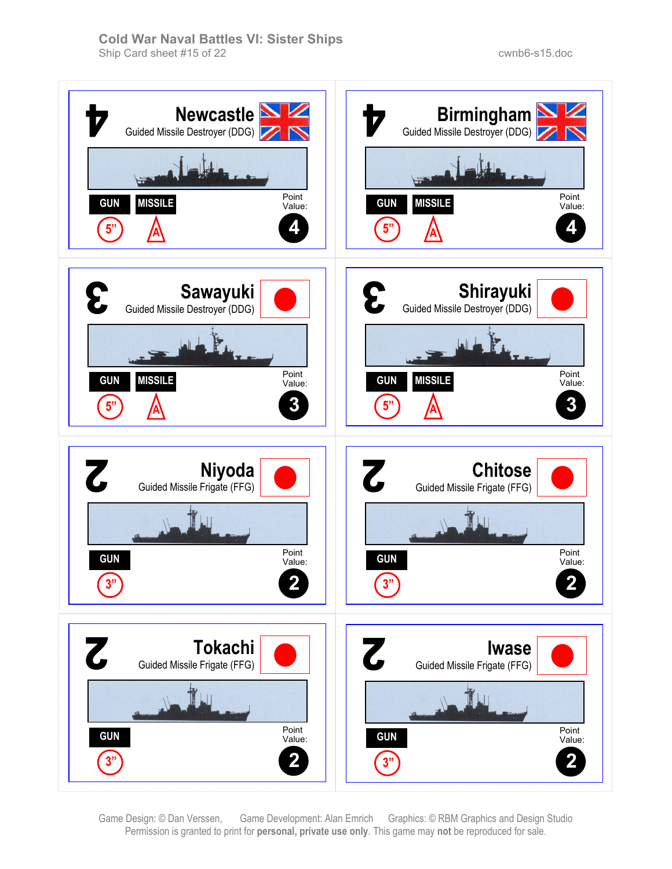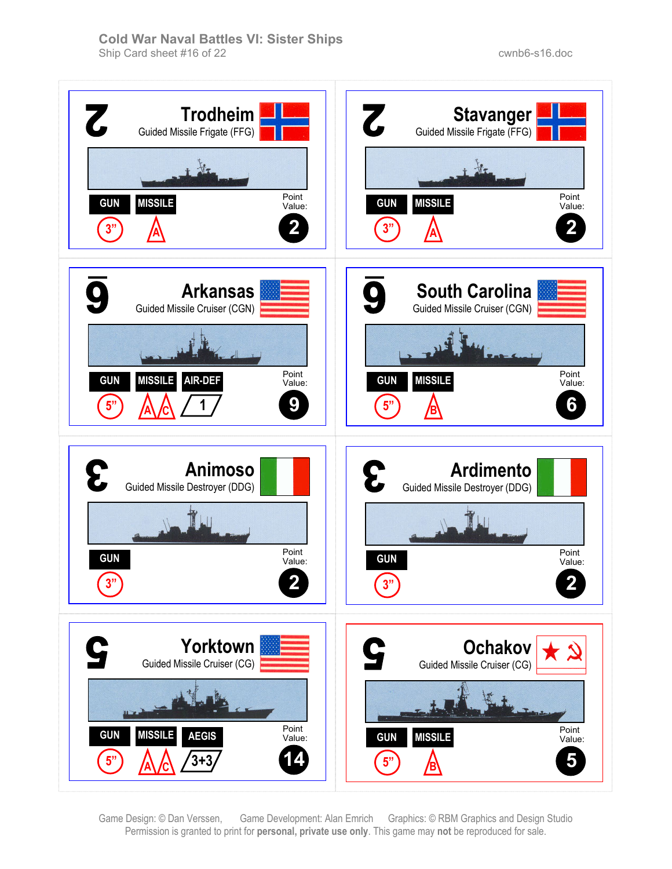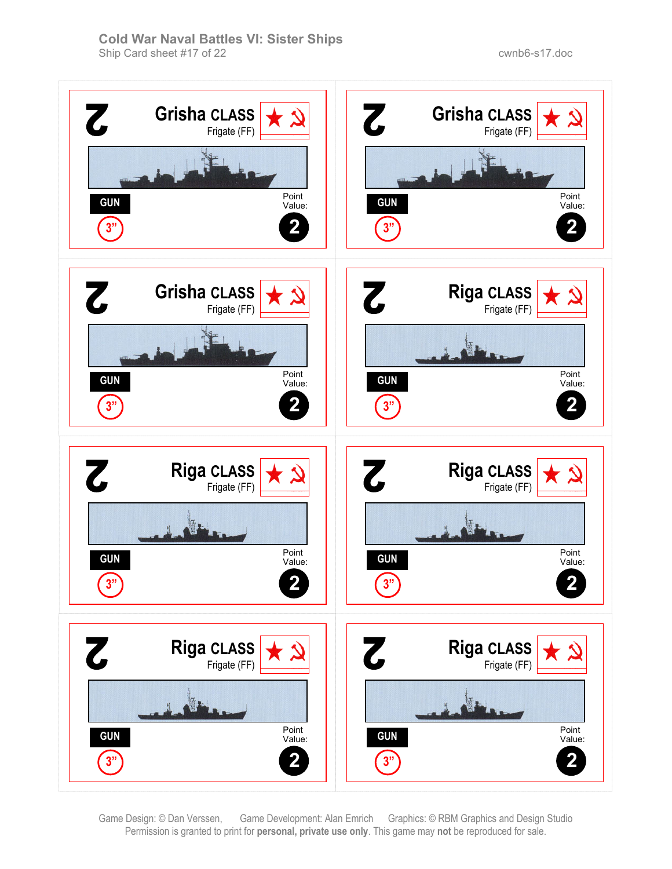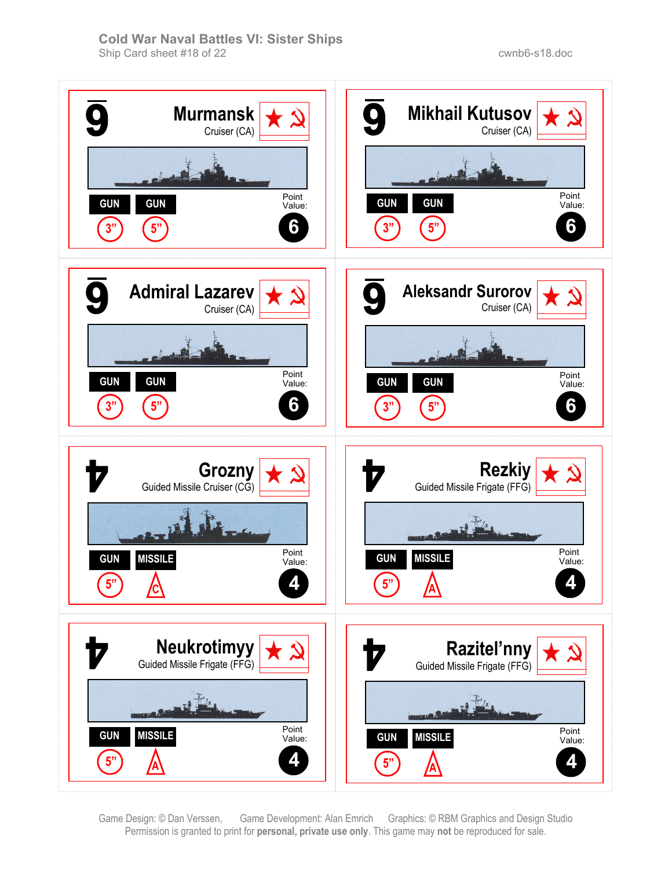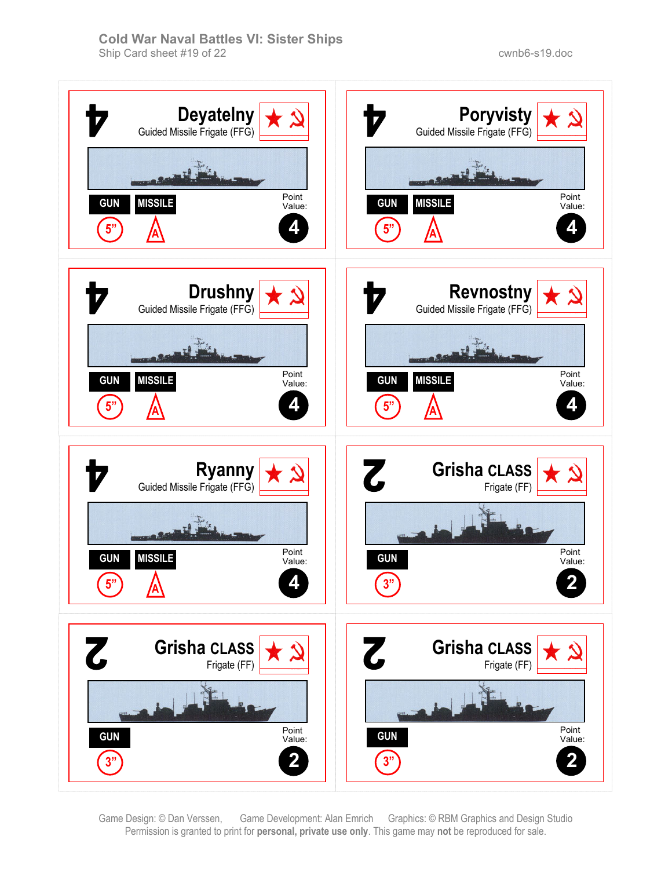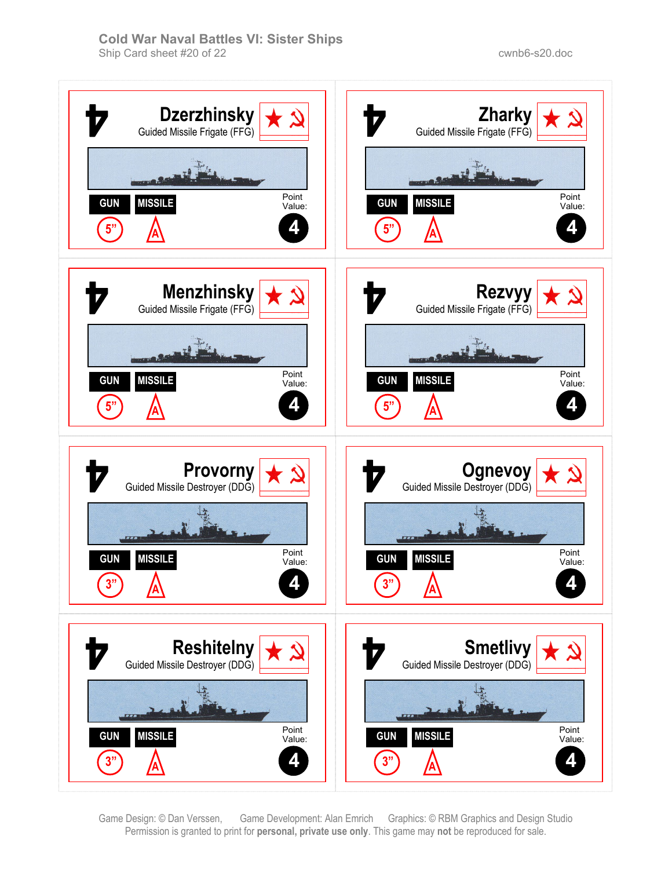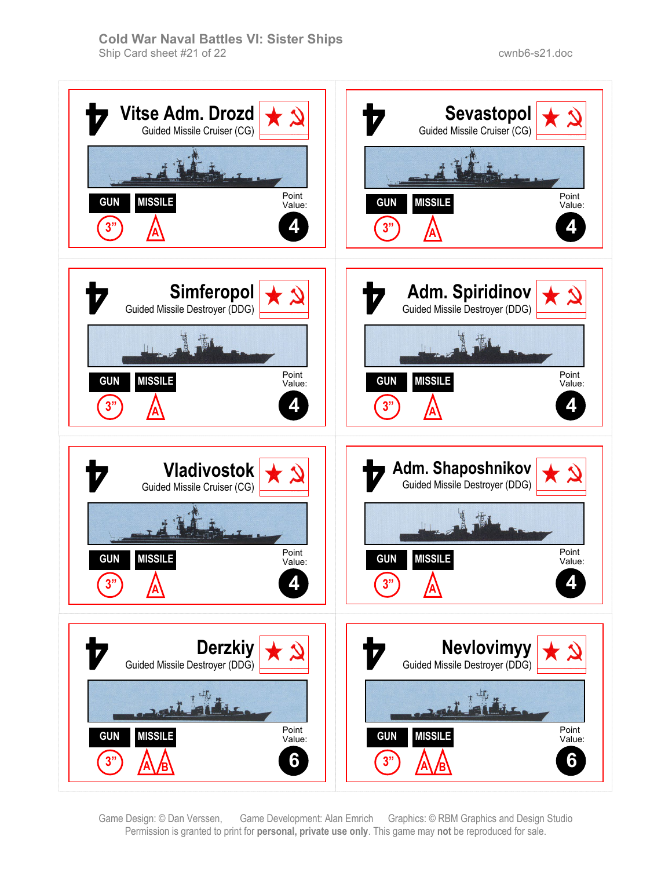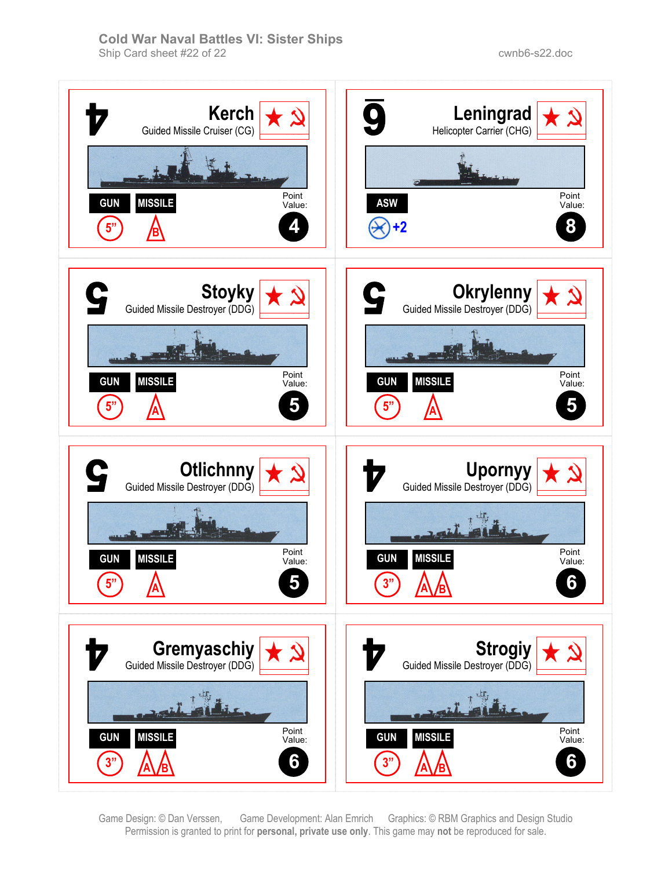